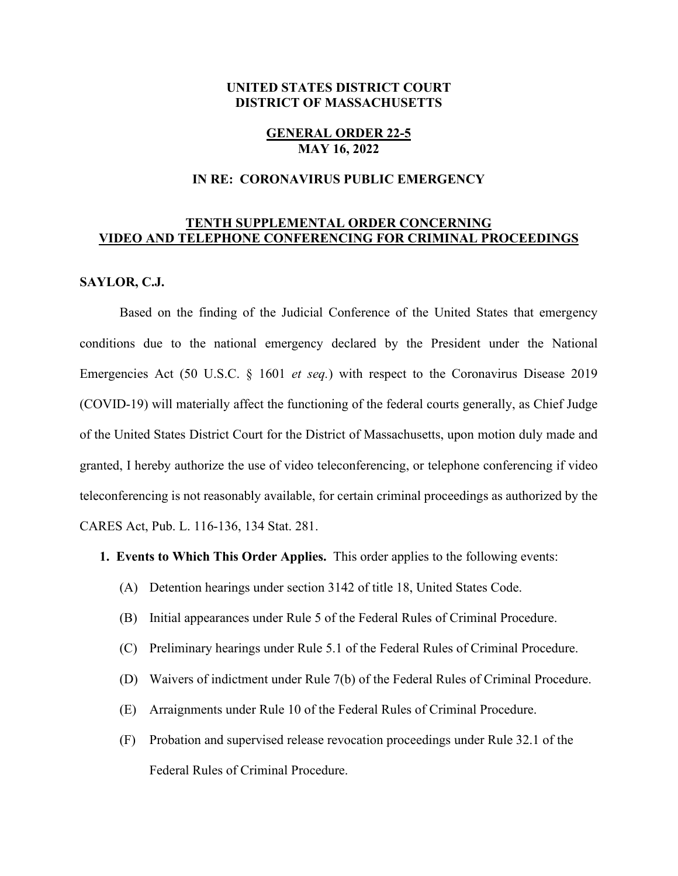# **UNITED STATES DISTRICT COURT DISTRICT OF MASSACHUSETTS**

## **GENERAL ORDER 22-5 MAY 16, 2022**

## **IN RE: CORONAVIRUS PUBLIC EMERGENCY**

# **TENTH SUPPLEMENTAL ORDER CONCERNING VIDEO AND TELEPHONE CONFERENCING FOR CRIMINAL PROCEEDINGS**

## **SAYLOR, C.J.**

Based on the finding of the Judicial Conference of the United States that emergency conditions due to the national emergency declared by the President under the National Emergencies Act (50 U.S.C. § 1601 *et seq.*) with respect to the Coronavirus Disease 2019 (COVID-19) will materially affect the functioning of the federal courts generally, as Chief Judge of the United States District Court for the District of Massachusetts, upon motion duly made and granted, I hereby authorize the use of video teleconferencing, or telephone conferencing if video teleconferencing is not reasonably available, for certain criminal proceedings as authorized by the CARES Act, Pub. L. 116-136, 134 Stat. 281.

#### **1. Events to Which This Order Applies.** This order applies to the following events:

- (A) Detention hearings under section 3142 of title 18, United States Code.
- (B) Initial appearances under Rule 5 of the Federal Rules of Criminal Procedure.
- (C) Preliminary hearings under Rule 5.1 of the Federal Rules of Criminal Procedure.
- (D) Waivers of indictment under Rule 7(b) of the Federal Rules of Criminal Procedure.
- (E) Arraignments under Rule 10 of the Federal Rules of Criminal Procedure.
- (F) Probation and supervised release revocation proceedings under Rule 32.1 of the Federal Rules of Criminal Procedure.